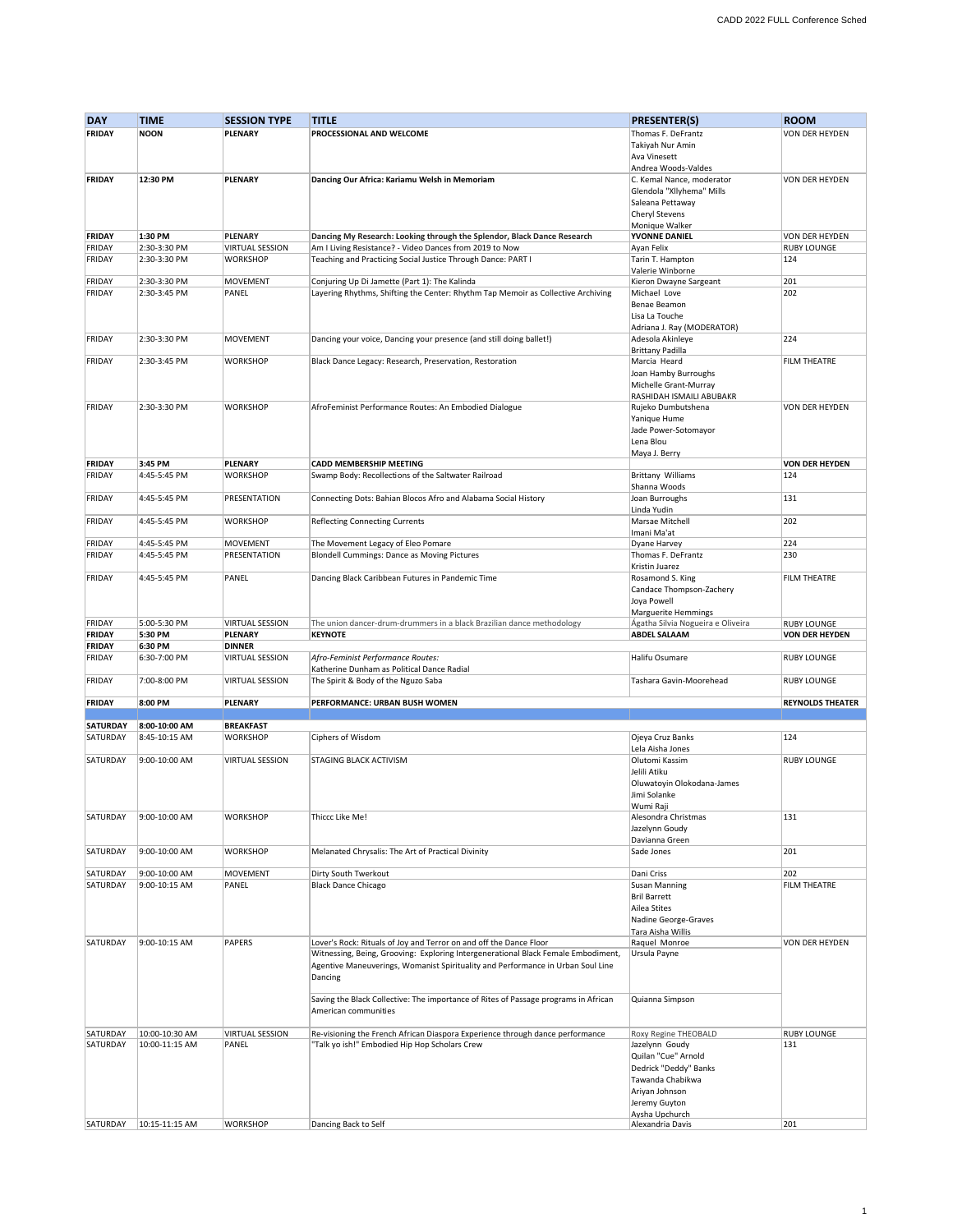| <b>DAY</b>      | <b>TIME</b>    | <b>SESSION TYPE</b>    | <b>TITLE</b>                                                                        | <b>PRESENTER(S)</b>                | <b>ROOM</b>             |
|-----------------|----------------|------------------------|-------------------------------------------------------------------------------------|------------------------------------|-------------------------|
| <b>FRIDAY</b>   | <b>NOON</b>    | PLENARY                | PROCESSIONAL AND WELCOME                                                            | Thomas F. DeFrantz                 | VON DER HEYDEN          |
|                 |                |                        |                                                                                     | Takiyah Nur Amin                   |                         |
|                 |                |                        |                                                                                     | Ava Vinesett                       |                         |
|                 |                |                        |                                                                                     | Andrea Woods-Valdes                |                         |
| <b>FRIDAY</b>   | 12:30 PM       | PLENARY                |                                                                                     | C. Kemal Nance, moderator          | VON DER HEYDEN          |
|                 |                |                        | Dancing Our Africa: Kariamu Welsh in Memoriam                                       |                                    |                         |
|                 |                |                        |                                                                                     | Glendola "Xllyhema" Mills          |                         |
|                 |                |                        |                                                                                     | Saleana Pettaway                   |                         |
|                 |                |                        |                                                                                     | <b>Cheryl Stevens</b>              |                         |
|                 |                |                        |                                                                                     | Monique Walker                     |                         |
| <b>FRIDAY</b>   | 1:30 PM        | PLENARY                | Dancing My Research: Looking through the Splendor, Black Dance Research             | YVONNE DANIEL                      | VON DER HEYDEN          |
| FRIDAY          | 2:30-3:30 PM   | <b>VIRTUAL SESSION</b> | Am I Living Resistance? - Video Dances from 2019 to Now                             | Ayan Felix                         | <b>RUBY LOUNGE</b>      |
| FRIDAY          | 2:30-3:30 PM   | <b>WORKSHOP</b>        | Teaching and Practicing Social Justice Through Dance: PART I                        | Tarin T. Hampton                   | 124                     |
|                 |                |                        |                                                                                     | Valerie Winborne                   |                         |
| FRIDAY          | 2:30-3:30 PM   | <b>MOVEMENT</b>        | Conjuring Up Di Jamette (Part 1): The Kalinda                                       | Kieron Dwayne Sargeant             | 201                     |
| FRIDAY          | 2:30-3:45 PM   | PANEL                  | Layering Rhythms, Shifting the Center: Rhythm Tap Memoir as Collective Archiving    | Michael Love                       | 202                     |
|                 |                |                        |                                                                                     | Benae Beamon                       |                         |
|                 |                |                        |                                                                                     | Lisa La Touche                     |                         |
|                 |                |                        |                                                                                     | Adriana J. Ray (MODERATOR)         |                         |
| FRIDAY          | 2:30-3:30 PM   | <b>MOVEMENT</b>        | Dancing your voice, Dancing your presence (and still doing ballet!)                 | Adesola Akinleye                   | 224                     |
|                 |                |                        |                                                                                     |                                    |                         |
|                 |                |                        |                                                                                     | <b>Brittany Padilla</b>            |                         |
| FRIDAY          | 2:30-3:45 PM   | <b>WORKSHOP</b>        | Black Dance Legacy: Research, Preservation, Restoration                             | Marcia Heard                       | FILM THEATRE            |
|                 |                |                        |                                                                                     | Joan Hamby Burroughs               |                         |
|                 |                |                        |                                                                                     | Michelle Grant-Murray              |                         |
|                 |                |                        |                                                                                     | RASHIDAH ISMAILI ABUBAKR           |                         |
| FRIDAY          | 2:30-3:30 PM   | <b>WORKSHOP</b>        | AfroFeminist Performance Routes: An Embodied Dialogue                               | Rujeko Dumbutshena                 | VON DER HEYDEN          |
|                 |                |                        |                                                                                     | Yanique Hume                       |                         |
|                 |                |                        |                                                                                     | Jade Power-Sotomayor               |                         |
|                 |                |                        |                                                                                     | Lena Blou                          |                         |
|                 |                |                        |                                                                                     | Maya J. Berry                      |                         |
| <b>FRIDAY</b>   | 3:45 PM        | PLENARY                | <b>CADD MEMBERSHIP MEETING</b>                                                      |                                    | <b>VON DER HEYDEN</b>   |
| FRIDAY          | 4:45-5:45 PM   | <b>WORKSHOP</b>        | Swamp Body: Recollections of the Saltwater Railroad                                 | <b>Brittany Williams</b>           | 124                     |
|                 |                |                        |                                                                                     | Shanna Woods                       |                         |
|                 | 4:45-5:45 PM   | PRESENTATION           |                                                                                     |                                    | 131                     |
| FRIDAY          |                |                        | Connecting Dots: Bahian Blocos Afro and Alabama Social History                      | Joan Burroughs                     |                         |
|                 |                |                        |                                                                                     | Linda Yudin                        |                         |
| FRIDAY          | 4:45-5:45 PM   | <b>WORKSHOP</b>        | <b>Reflecting Connecting Currents</b>                                               | Marsae Mitchell                    | 202                     |
|                 |                |                        |                                                                                     | Imani Ma'at                        |                         |
| FRIDAY          | 4:45-5:45 PM   | <b>MOVEMENT</b>        | The Movement Legacy of Eleo Pomare                                                  | Dyane Harvey                       | 224                     |
| FRIDAY          | 4:45-5:45 PM   | PRESENTATION           | Blondell Cummings: Dance as Moving Pictures                                         | Thomas F. DeFrantz                 | 230                     |
|                 |                |                        |                                                                                     | Kristin Juarez                     |                         |
| FRIDAY          | 4:45-5:45 PM   | PANEL                  | Dancing Black Caribbean Futures in Pandemic Time                                    | Rosamond S. King                   | <b>FILM THEATRE</b>     |
|                 |                |                        |                                                                                     | Candace Thompson-Zachery           |                         |
|                 |                |                        |                                                                                     | Joya Powell                        |                         |
|                 |                |                        |                                                                                     | <b>Marguerite Hemmings</b>         |                         |
| FRIDAY          | 5:00-5:30 PM   | <b>VIRTUAL SESSION</b> | The union dancer-drum-drummers in a black Brazilian dance methodology               | Ágatha Silvia Nogueira e Oliveira  | <b>RUBY LOUNGE</b>      |
| <b>FRIDAY</b>   | 5:30 PM        | PLENARY                | <b>KEYNOTE</b>                                                                      | <b>ABDEL SALAAM</b>                | <b>VON DER HEYDEN</b>   |
| <b>FRIDAY</b>   | 6:30 PM        | <b>DINNER</b>          |                                                                                     |                                    |                         |
|                 |                |                        |                                                                                     |                                    |                         |
| FRIDAY          | 6:30-7:00 PM   | <b>VIRTUAL SESSION</b> | Afro-Feminist Performance Routes:                                                   | Halifu Osumare                     | <b>RUBY LOUNGE</b>      |
|                 |                |                        | Katherine Dunham as Political Dance Radial                                          |                                    |                         |
| FRIDAY          | 7:00-8:00 PM   | <b>VIRTUAL SESSION</b> | The Spirit & Body of the Nguzo Saba                                                 | Tashara Gavin-Moorehead            | <b>RUBY LOUNGE</b>      |
|                 |                |                        |                                                                                     |                                    |                         |
| <b>FRIDAY</b>   | 8:00 PM        | PLENARY                | PERFORMANCE: URBAN BUSH WOMEN                                                       |                                    | <b>REYNOLDS THEATER</b> |
|                 |                |                        |                                                                                     |                                    |                         |
| <b>SATURDAY</b> | 8:00-10:00 AM  |                        |                                                                                     |                                    |                         |
| SATURDAY        |                | <b>BREAKFAST</b>       |                                                                                     |                                    |                         |
|                 | 8:45-10:15 AM  | <b>WORKSHOP</b>        | Ciphers of Wisdom                                                                   | Ojeya Cruz Banks                   | 124                     |
|                 |                |                        |                                                                                     | Lela Aisha Jones                   |                         |
| SATURDAY        | 9:00-10:00 AM  | <b>VIRTUAL SESSION</b> | <b>STAGING BLACK ACTIVISM</b>                                                       | Olutomi Kassim                     | <b>RUBY LOUNGE</b>      |
|                 |                |                        |                                                                                     | Jelili Atiku                       |                         |
|                 |                |                        |                                                                                     |                                    |                         |
|                 |                |                        |                                                                                     | Oluwatoyin Olokodana-James         |                         |
|                 |                |                        |                                                                                     | Jimi Solanke                       |                         |
|                 |                |                        |                                                                                     | Wumi Raji                          |                         |
| SATURDAY        | 9:00-10:00 AM  | <b>WORKSHOP</b>        | Thiccc Like Me!                                                                     | Alesondra Christmas                | 131                     |
|                 |                |                        |                                                                                     | Jazelynn Goudy                     |                         |
|                 |                |                        |                                                                                     | Davianna Green                     |                         |
| SATURDAY        | 9:00-10:00 AM  | <b>WORKSHOP</b>        | Melanated Chrysalis: The Art of Practical Divinity                                  | Sade Jones                         | 201                     |
|                 |                |                        |                                                                                     |                                    |                         |
| SATURDAY        | 9:00-10:00 AM  | <b>MOVEMENT</b>        | Dirty South Twerkout                                                                | Dani Criss                         | 202                     |
| SATURDAY        | 9:00-10:15 AM  | PANEL                  | <b>Black Dance Chicago</b>                                                          | Susan Manning                      | <b>FILM THEATRE</b>     |
|                 |                |                        |                                                                                     | <b>Bril Barrett</b>                |                         |
|                 |                |                        |                                                                                     | Ailea Stites                       |                         |
|                 |                |                        |                                                                                     | Nadine George-Graves               |                         |
|                 |                |                        |                                                                                     | Tara Aisha Willis                  |                         |
|                 |                |                        |                                                                                     | Raquel Monroe                      |                         |
| SATURDAY        | 9:00-10:15 AM  | <b>PAPERS</b>          | Lover's Rock: Rituals of Joy and Terror on and off the Dance Floor                  |                                    | VON DER HEYDEN          |
|                 |                |                        | Witnessing, Being, Grooving: Exploring Intergenerational Black Female Embodiment,   | Ursula Payne                       |                         |
|                 |                |                        | Agentive Maneuverings, Womanist Spirituality and Performance in Urban Soul Line     |                                    |                         |
|                 |                |                        | Dancing                                                                             |                                    |                         |
|                 |                |                        |                                                                                     |                                    |                         |
|                 |                |                        | Saving the Black Collective: The importance of Rites of Passage programs in African | Quianna Simpson                    |                         |
|                 |                |                        | American communities                                                                |                                    |                         |
|                 |                |                        |                                                                                     |                                    |                         |
| SATURDAY        | 10:00-10:30 AM | <b>VIRTUAL SESSION</b> | Re-visioning the French African Diaspora Experience through dance performance       | Roxy Regine THEOBALD               | <b>RUBY LOUNGE</b>      |
| SATURDAY        | 10:00-11:15 AM | PANEL                  | "Talk yo ish!" Embodied Hip Hop Scholars Crew                                       | Jazelynn Goudy                     | 131                     |
|                 |                |                        |                                                                                     | Quilan "Cue" Arnold                |                         |
|                 |                |                        |                                                                                     | Dedrick "Deddy" Banks              |                         |
|                 |                |                        |                                                                                     | Tawanda Chabikwa                   |                         |
|                 |                |                        |                                                                                     | Ariyan Johnson                     |                         |
|                 |                |                        |                                                                                     |                                    |                         |
|                 |                |                        |                                                                                     | Jeremy Guyton                      |                         |
| SATURDAY        | 10:15-11:15 AM | <b>WORKSHOP</b>        | Dancing Back to Self                                                                | Aysha Upchurch<br>Alexandria Davis | 201                     |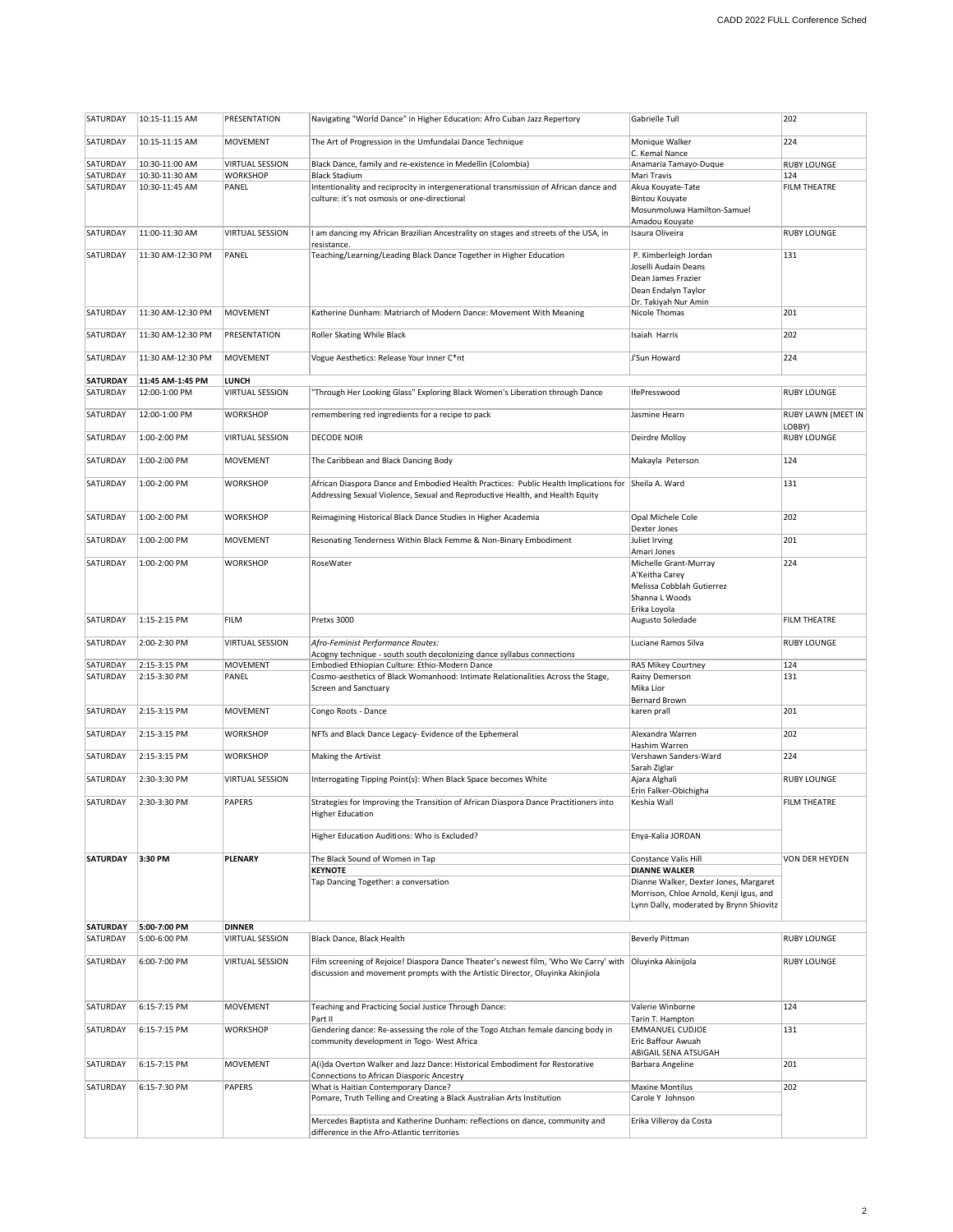| SATURDAY             | 10:15-11:15 AM                   | PRESENTATION                       | Navigating "World Dance" in Higher Education: Afro Cuban Jazz Repertory                                       | Gabrielle Tull                             | 202                          |
|----------------------|----------------------------------|------------------------------------|---------------------------------------------------------------------------------------------------------------|--------------------------------------------|------------------------------|
| SATURDAY             | 10:15-11:15 AM                   | <b>MOVEMENT</b>                    | The Art of Progression in the Umfundalai Dance Technique                                                      | Monique Walker                             | 224                          |
|                      |                                  |                                    |                                                                                                               | C. Kemal Nance                             |                              |
| SATURDAY<br>SATURDAY | 10:30-11:00 AM<br>10:30-11:30 AM | <b>VIRTUAL SESSION</b><br>WORKSHOP | Black Dance, family and re-existence in Medellin (Colombia)<br><b>Black Stadium</b>                           | Anamaria Tamayo-Duque<br>Mari Travis       | <b>RUBY LOUNGE</b><br>124    |
| SATURDAY             | 10:30-11:45 AM                   | PANEL                              | Intentionality and reciprocity in intergenerational transmission of African dance and                         | Akua Kouyate-Tate                          | FILM THEATRE                 |
|                      |                                  |                                    | culture: it's not osmosis or one-directional                                                                  | <b>Bintou Kouyate</b>                      |                              |
|                      |                                  |                                    |                                                                                                               | Mosunmoluwa Hamilton-Samuel                |                              |
| SATURDAY             | 11:00-11:30 AM                   | <b>VIRTUAL SESSION</b>             | I am dancing my African Brazilian Ancestrality on stages and streets of the USA, in                           | Amadou Kouyate<br>Isaura Oliveira          | <b>RUBY LOUNGE</b>           |
|                      |                                  |                                    | resistance.                                                                                                   |                                            |                              |
| SATURDAY             | 11:30 AM-12:30 PM                | PANEL                              | Teaching/Learning/Leading Black Dance Together in Higher Education                                            | P. Kimberleigh Jordan                      | 131                          |
|                      |                                  |                                    |                                                                                                               | Joselli Audain Deans<br>Dean James Frazier |                              |
|                      |                                  |                                    |                                                                                                               | Dean Endalyn Taylor                        |                              |
|                      |                                  |                                    |                                                                                                               | Dr. Takiyah Nur Amin                       |                              |
| SATURDAY             | 11:30 AM-12:30 PM                | <b>MOVEMENT</b>                    | Katherine Dunham: Matriarch of Modern Dance: Movement With Meaning                                            | Nicole Thomas                              | 201                          |
| SATURDAY             | 11:30 AM-12:30 PM                | PRESENTATION                       | Roller Skating While Black                                                                                    | Isaiah Harris                              | 202                          |
| SATURDAY             | 11:30 AM-12:30 PM                | <b>MOVEMENT</b>                    | Vogue Aesthetics: Release Your Inner C*nt                                                                     | J'Sun Howard                               | 224                          |
|                      |                                  |                                    |                                                                                                               |                                            |                              |
| <b>SATURDAY</b>      | 11:45 AM-1:45 PM                 | LUNCH                              |                                                                                                               |                                            |                              |
| SATURDAY             | 12:00-1:00 PM                    | <b>VIRTUAL SESSION</b>             | "Through Her Looking Glass" Exploring Black Women's Liberation through Dance                                  | IfePresswood                               | <b>RUBY LOUNGE</b>           |
| SATURDAY             | 12:00-1:00 PM                    | <b>WORKSHOP</b>                    | remembering red ingredients for a recipe to pack                                                              | Jasmine Hearn                              | RUBY LAWN (MEET IN           |
| SATURDAY             | 1:00-2:00 PM                     | <b>VIRTUAL SESSION</b>             | <b>DECODE NOIR</b>                                                                                            | Deirdre Molloy                             | LOBBY)<br><b>RUBY LOUNGE</b> |
|                      |                                  |                                    |                                                                                                               |                                            |                              |
| SATURDAY             | 1:00-2:00 PM                     | <b>MOVEMENT</b>                    | The Caribbean and Black Dancing Body                                                                          | Makayla Peterson                           | 124                          |
| SATURDAY             | 1:00-2:00 PM                     | <b>WORKSHOP</b>                    | African Diaspora Dance and Embodied Health Practices: Public Health Implications for Sheila A. Ward           |                                            | 131                          |
|                      |                                  |                                    | Addressing Sexual Violence, Sexual and Reproductive Health, and Health Equity                                 |                                            |                              |
| SATURDAY             | 1:00-2:00 PM                     | <b>WORKSHOP</b>                    | Reimagining Historical Black Dance Studies in Higher Academia                                                 | Opal Michele Cole                          | 202                          |
|                      |                                  |                                    |                                                                                                               | Dexter Jones                               |                              |
| SATURDAY             | 1:00-2:00 PM                     | <b>MOVEMENT</b>                    | Resonating Tenderness Within Black Femme & Non-Binary Embodiment                                              | Juliet Irving<br>Amari Jones               | 201                          |
| SATURDAY             | 1:00-2:00 PM                     | <b>WORKSHOP</b>                    | RoseWater                                                                                                     | Michelle Grant-Murray                      | 224                          |
|                      |                                  |                                    |                                                                                                               | A'Keitha Carey                             |                              |
|                      |                                  |                                    |                                                                                                               | Melissa Cobblah Gutierrez                  |                              |
|                      |                                  |                                    |                                                                                                               | Shanna L Woods                             |                              |
|                      |                                  |                                    |                                                                                                               | Erika Loyola                               |                              |
| SATURDAY             | 1:15-2:15 PM                     | <b>FILM</b>                        | Pretxs 3000                                                                                                   | Augusto Soledade                           | <b>FILM THEATRE</b>          |
| SATURDAY             | 2:00-2:30 PM                     | <b>VIRTUAL SESSION</b>             | Afro-Feminist Performance Routes:                                                                             | Luciane Ramos Silva                        | <b>RUBY LOUNGE</b>           |
|                      |                                  |                                    | Acogny technique - south south decolonizing dance syllabus connections                                        |                                            |                              |
| SATURDAY             | 2:15-3:15 PM                     | <b>MOVEMENT</b>                    | Embodied Ethiopian Culture: Ethio-Modern Dance                                                                | RAS Mikey Courtney                         | 124                          |
| SATURDAY             | 2:15-3:30 PM                     | PANEL                              | Cosmo-aesthetics of Black Womanhood: Intimate Relationalities Across the Stage,<br>Screen and Sanctuary       | Rainy Demerson<br>Mika Lior                | 131                          |
|                      |                                  |                                    |                                                                                                               | Bernard Brown                              |                              |
| SATURDAY             | 2:15-3:15 PM                     | <b>MOVEMENT</b>                    | Congo Roots - Dance                                                                                           | karen prall                                | 201                          |
| SATURDAY             | 2:15-3:15 PM                     | <b>WORKSHOP</b>                    | NFTs and Black Dance Legacy- Evidence of the Ephemeral                                                        | Alexandra Warren                           | 202                          |
|                      |                                  |                                    |                                                                                                               | Hashim Warren                              |                              |
| SATURDAY             | 2:15-3:15 PM                     | <b>WORKSHOP</b>                    | Making the Artivist                                                                                           | Vershawn Sanders-Ward                      | 224                          |
| SATURDAY             | 2:30-3:30 PM                     | <b>VIRTUAL SESSION</b>             | Interrogating Tipping Point(s): When Black Space becomes White                                                | Sarah Ziglar<br>Ajara Alghali              | <b>RUBY LOUNGE</b>           |
| SATURDAY             |                                  |                                    |                                                                                                               | Erin Falker-Obichigha                      | <b>FILM THEATRE</b>          |
|                      | 2:30-3:30 PM                     | <b>PAPERS</b>                      | Strategies for Improving the Transition of African Diaspora Dance Practitioners into<br>Higher Education      | Keshia Wall                                |                              |
|                      |                                  |                                    |                                                                                                               |                                            |                              |
|                      |                                  |                                    | Higher Education Auditions: Who is Excluded?                                                                  | Enya-Kalia JORDAN                          |                              |
| <b>SATURDAY</b>      | 3:30 PM                          | PLENARY                            | The Black Sound of Women in Tap                                                                               | Constance Valis Hill                       | VON DER HEYDEN               |
|                      |                                  |                                    | <b>KEYNOTE</b>                                                                                                | <b>DIANNE WALKER</b>                       |                              |
|                      |                                  |                                    | Tap Dancing Together: a conversation                                                                          | Dianne Walker, Dexter Jones, Margaret      |                              |
|                      |                                  |                                    |                                                                                                               | Morrison, Chloe Arnold, Kenji Igus, and    |                              |
|                      |                                  |                                    |                                                                                                               | Lynn Dally, moderated by Brynn Shiovitz    |                              |
| <b>SATURDAY</b>      | 5:00-7:00 PM                     | <b>DINNER</b>                      |                                                                                                               |                                            |                              |
| SATURDAY             | 5:00-6:00 PM                     | <b>VIRTUAL SESSION</b>             | Black Dance, Black Health                                                                                     | <b>Beverly Pittman</b>                     | <b>RUBY LOUNGE</b>           |
| SATURDAY             | 6:00-7:00 PM                     | <b>VIRTUAL SESSION</b>             | Film screening of Rejoice! Diaspora Dance Theater's newest film, 'Who We Carry' with  Oluyinka Akinijola      |                                            | <b>RUBY LOUNGE</b>           |
|                      |                                  |                                    | discussion and movement prompts with the Artistic Director, Oluyinka Akinjiola                                |                                            |                              |
|                      |                                  |                                    |                                                                                                               |                                            |                              |
| SATURDAY             | 6:15-7:15 PM                     | <b>MOVEMENT</b>                    | Teaching and Practicing Social Justice Through Dance:                                                         | Valerie Winborne                           | 124                          |
|                      |                                  |                                    | Part II                                                                                                       | Tarin T. Hampton                           |                              |
| SATURDAY             | 6:15-7:15 PM                     | <b>WORKSHOP</b>                    | Gendering dance: Re-assessing the role of the Togo Atchan female dancing body in                              | <b>EMMANUEL CUDJOE</b>                     | 131                          |
|                      |                                  |                                    | community development in Togo- West Africa                                                                    | Eric Baffour Awuah<br>ABIGAIL SENA ATSUGAH |                              |
| SATURDAY             | 6:15-7:15 PM                     | <b>MOVEMENT</b>                    | A(i)da Overton Walker and Jazz Dance: Historical Embodiment for Restorative                                   | Barbara Angeline                           | 201                          |
|                      |                                  |                                    | Connections to African Diasporic Ancestry                                                                     |                                            |                              |
| SATURDAY             | 6:15-7:30 PM                     | <b>PAPERS</b>                      | What is Haitian Contemporary Dance?<br>Pomare, Truth Telling and Creating a Black Australian Arts Institution | <b>Maxine Montilus</b><br>Carole Y Johnson | 202                          |
|                      |                                  |                                    |                                                                                                               |                                            |                              |
|                      |                                  |                                    | Mercedes Baptista and Katherine Dunham: reflections on dance, community and                                   | Erika Villeroy da Costa                    |                              |
|                      |                                  |                                    | difference in the Afro-Atlantic territories                                                                   |                                            |                              |